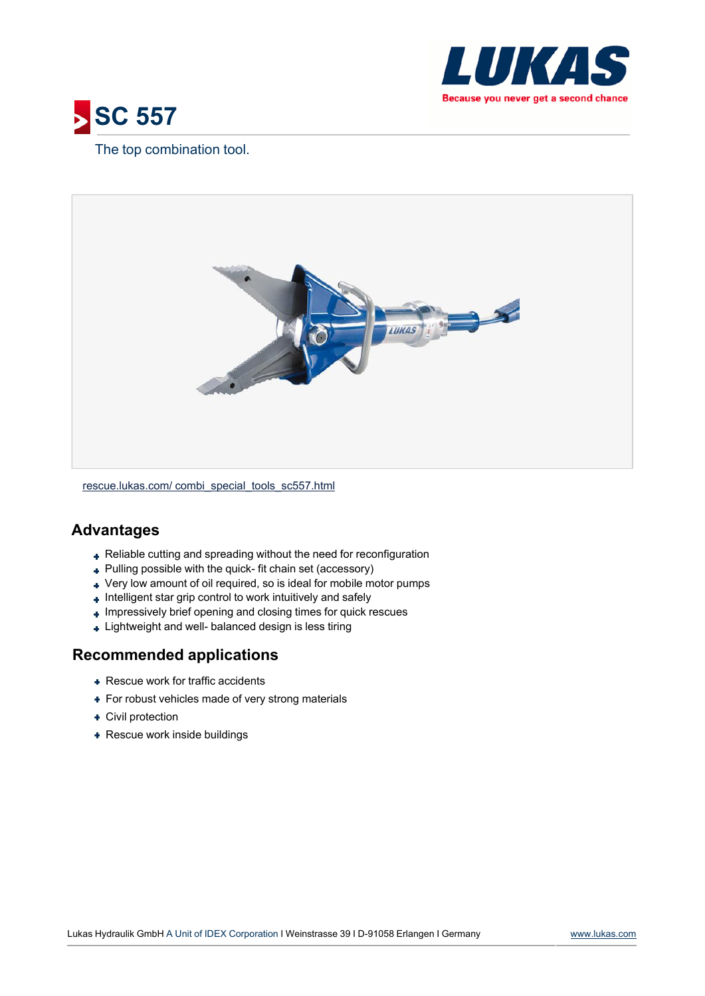



## The top combination tool.



[rescue.lukas.com/](http://rescue.lukas.com/combi_special_tools_sc557.html) [combi\\_special\\_tools\\_sc557.html](http://rescue.lukas.com/combi_special_tools_sc557.html)

## **Advantages**

- Reliable cutting and spreading without the need for reconfiguration
- Pulling possible with the quick- fit chain set (accessory)
- Very low amount of oil required, so is ideal for mobile motor pumps
- + Intelligent star grip control to work intuitively and safely
- $\overline{\phantom{a}}$  Impressively brief opening and closing times for quick rescues
- + Lightweight and well- balanced design is less tiring

## **Recommended applications**

- **+ Rescue work for traffic accidents**
- + For robust vehicles made of very strong materials
- Civil protection
- + Rescue work inside buildings